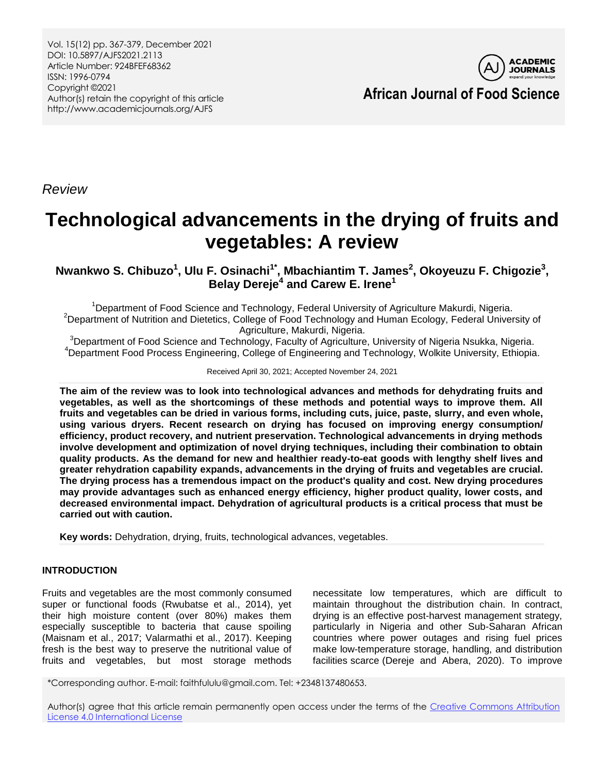Vol. 15(12) pp. 367-379, December 2021 DOI: 10.5897/AJFS2021.2113 Article Number: 924BFEF68362 ISSN: 1996-0794 Copyright ©2021 Author(s) retain the copyright of this article http://www.academicjournals.org/AJFS



**African Journal of Food Science**

*Review*

# **Technological advancements in the drying of fruits and vegetables: A review**

**Nwankwo S. Chibuzo<sup>1</sup> , Ulu F. [Osinachi](https://ms.academicjournals.org/authors/dashboard)1\* , Mbachiantim T. James<sup>2</sup> , Okoyeuzu F. Chigozie<sup>3</sup> , Belay Dereje<sup>4</sup> and Carew E. Irene<sup>1</sup>**

<sup>1</sup>Department of Food Science and Technology, Federal University of Agriculture Makurdi, Nigeria. <sup>2</sup>Department of Nutrition and Dietetics, College of Food Technology and Human Ecology, Federal University of Agriculture, Makurdi, Nigeria.

<sup>3</sup>Department of Food Science and Technology, Faculty of Agriculture, University of Nigeria Nsukka, Nigeria. <sup>4</sup>Department Food Process Engineering, College of Engineering and Technology, Wolkite [University,](https://www.researchgate.net/institution/Wolkite-University) Ethiopia.

Received April 30, 2021; Accepted November 24, 2021

**The aim of the review was to look into technological advances and methods for dehydrating fruits and vegetables, as well as the shortcomings of these methods and potential ways to improve them. All fruits and vegetables can be dried in various forms, including cuts, juice, paste, slurry, and even whole, using various dryers. Recent research on drying has focused on improving energy consumption/ efficiency, product recovery, and nutrient preservation. Technological advancements in drying methods involve development and optimization of novel drying techniques, including their combination to obtain quality products. As the demand for new and healthier ready-to-eat goods with lengthy shelf lives and greater rehydration capability expands, advancements in the drying of fruits and vegetables are crucial. The drying process has a tremendous impact on the product's quality and cost. New drying procedures may provide advantages such as enhanced energy efficiency, higher product quality, lower costs, and decreased environmental impact. Dehydration of agricultural products is a critical process that must be carried out with caution.**

**Key words:** Dehydration, drying, fruits, technological advances, vegetables.

# **INTRODUCTION**

Fruits and vegetables are the most commonly consumed super or functional foods (Rwubatse et al., 2014), yet their high moisture content (over 80%) makes them especially susceptible to bacteria that cause spoiling (Maisnam et al., 2017; Valarmathi et al., 2017). Keeping fresh is the best way to preserve the nutritional value of fruits and vegetables, but most storage methods

necessitate low temperatures, which are difficult to maintain throughout the distribution chain. In contract, drying is an effective post-harvest management strategy, particularly in Nigeria and other Sub-Saharan African countries where power outages and rising fuel prices make low-temperature storage, handling, and distribution facilities scarce (Dereje and Abera, 2020). To improve

\*Corresponding author. E-mail: faithfululu@gmail.com. Tel: +2348137480653.

Author(s) agree that this article remain permanently open access under the terms of the [Creative Commons Attribution](http://creativecommons.org/licenses/by/4.0/deed.en_US)  [License 4.0 International License](http://creativecommons.org/licenses/by/4.0/deed.en_US)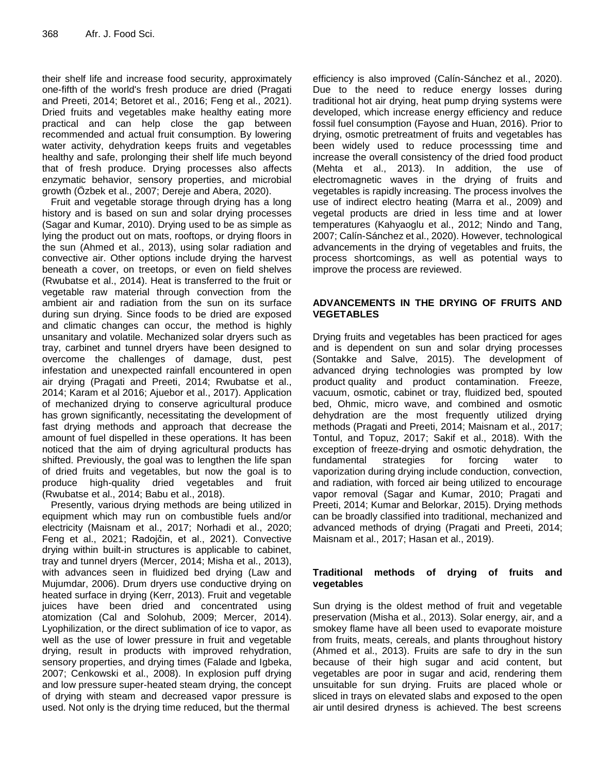their shelf life and increase food security, approximately one-fifth of the world's fresh produce are dried (Pragati and Preeti, 2014; Betoret et al., 2016; Feng et al., 2021). Dried fruits and vegetables make healthy eating more practical and can help close the gap between recommended and actual fruit consumption. By lowering water activity, dehydration keeps fruits and vegetables healthy and safe, prolonging their shelf life much beyond that of fresh produce. Drying processes also affects enzymatic behavior, sensory properties, and microbial growth (Özbek et al., 2007; Dereje and Abera, 2020).

Fruit and vegetable storage through drying has a long history and is based on sun and solar drying processes (Sagar and Kumar, 2010). Drying used to be as simple as lying the product out on mats, rooftops, or drying floors in the sun (Ahmed et al., 2013), using solar radiation and convective air. Other options include drying the harvest beneath a cover, on treetops, or even on field shelves (Rwubatse et al., 2014). Heat is transferred to the fruit or vegetable raw material through convection from the ambient air and radiation from the sun on its surface during sun drying. Since foods to be dried are exposed and climatic changes can occur, the method is highly unsanitary and volatile. Mechanized solar dryers such as tray, carbinet and tunnel dryers have been designed to overcome the challenges of damage, dust, pest infestation and unexpected rainfall encountered in open air drying (Pragati and Preeti, 2014; Rwubatse et al., 2014; Karam et al 2016; Ajuebor et al., 2017). Application of mechanized drying to conserve agricultural produce has grown significantly, necessitating the development of fast drying methods and approach that decrease the amount of fuel dispelled in these operations. It has been noticed that the aim of drying agricultural products has shifted. Previously, the goal was to lengthen the life span of dried fruits and vegetables, but now the goal is to produce high-quality dried vegetables and fruit (Rwubatse et al., 2014; Babu et al., 2018).

Presently, various drying methods are being utilized in equipment which may run on combustible fuels and/or electricity (Maisnam et al., 2017; Norhadi et al., 2020; Feng et al., 2021; Radojčin, et al., 2021). Convective drying within built-in structures is applicable to cabinet, tray and tunnel dryers (Mercer, 2014; Misha et al., 2013), with advances seen in fluidized bed drying (Law and Mujumdar, 2006). Drum dryers use conductive drying on heated surface in drying (Kerr, 2013). Fruit and vegetable juices have been dried and concentrated using atomization (Cal and Solohub, 2009; Mercer, 2014). Lyophilization, or the direct sublimation of ice to vapor, as well as the use of lower pressure in fruit and vegetable drying, result in products with improved rehydration, sensory properties, and drying times (Falade and Igbeka, 2007; Cenkowski et al., 2008). In explosion puff drying and low pressure super-heated steam drying, the concept of drying with steam and decreased vapor pressure is used. Not only is the drying time reduced, but the thermal

efficiency is also improved (Calín-Sánchez et al., 2020). Due to the need to reduce energy losses during traditional hot air drying, heat pump drying systems were developed, which increase energy efficiency and reduce fossil fuel consumption (Fayose and Huan, 2016). Prior to drying, osmotic pretreatment of fruits and vegetables has been widely used to reduce processsing time and increase the overall consistency of the dried food product (Mehta et al., 2013). In addition, the use of electromagnetic waves in the drying of fruits and vegetables is rapidly increasing. The process involves the use of indirect electro heating (Marra et al., 2009) and vegetal products are dried in less time and at lower temperatures (Kahyaoglu et al., 2012; Nindo and Tang, 2007; Calín-Sánchez et al., 2020). However, technological advancements in the drying of vegetables and fruits, the process shortcomings, as well as potential ways to improve the process are reviewed.

## **ADVANCEMENTS IN THE DRYING OF FRUITS AND VEGETABLES**

Drying fruits and vegetables has been practiced for ages and is dependent on sun and solar drying processes (Sontakke and Salve, 2015). The development of advanced drying technologies was prompted by low product quality and product contamination. Freeze, vacuum, osmotic, cabinet or tray, fluidized bed, spouted bed, Ohmic, micro wave, and combined and osmotic dehydration are the most frequently utilized drying methods (Pragati and Preeti, 2014; Maisnam et al., 2017; Tontul, and Topuz, 2017; Sakif et al., 2018). With the exception of freeze-drying and osmotic dehydration, the fundamental strategies for forcing water to vaporization during drying include conduction, convection, and radiation, with forced air being utilized to encourage vapor removal (Sagar and Kumar, 2010; Pragati and Preeti, 2014; Kumar and Belorkar, 2015). Drying methods can be broadly classified into traditional, mechanized and advanced methods of drying (Pragati and Preeti, 2014; Maisnam et al., 2017; Hasan et al., 2019).

## **Traditional methods of drying of fruits and vegetables**

Sun drying is the oldest method of fruit and vegetable preservation (Misha et al., 2013). Solar energy, air, and a smokey flame have all been used to evaporate moisture from fruits, meats, cereals, and plants throughout history (Ahmed et al., 2013). Fruits are safe to dry in the sun because of their high sugar and acid content, but vegetables are poor in sugar and acid, rendering them unsuitable for sun drying. Fruits are placed whole or sliced in trays on elevated slabs and exposed to the open air until desired dryness is achieved. The best screens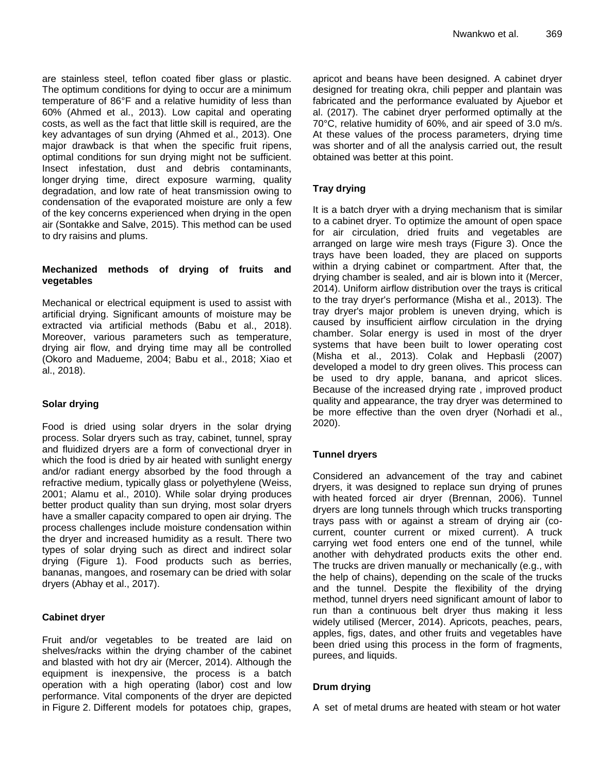are stainless steel, teflon coated fiber glass or plastic. The optimum conditions for dying to occur are a minimum temperature of 86°F and a relative humidity of less than 60% (Ahmed et al., 2013). Low capital and operating costs, as well as the fact that little skill is required, are the key advantages of sun drying (Ahmed et al., 2013). One major drawback is that when the specific fruit ripens, optimal conditions for sun drying might not be sufficient. Insect infestation, dust and debris contaminants, longer drying time, direct exposure warming, quality degradation, and low rate of heat transmission owing to condensation of the evaporated moisture are only a few of the key concerns experienced when drying in the open air (Sontakke and Salve, 2015). This method can be used to dry raisins and plums.

## **Mechanized methods of drying of fruits and vegetables**

Mechanical or electrical equipment is used to assist with artificial drying. Significant amounts of moisture may be extracted via artificial methods (Babu et al., 2018). Moreover, various parameters such as temperature, drying air flow, and drying time may all be controlled (Okoro and Madueme, 2004; Babu et al., 2018; Xiao et al., 2018).

## **Solar drying**

Food is dried using solar dryers in the solar drying process. Solar dryers such as tray, cabinet, tunnel, spray and fluidized dryers are a form of convectional dryer in which the food is dried by air heated with sunlight energy and/or radiant energy absorbed by the food through a refractive medium, typically glass or polyethylene (Weiss, 2001; Alamu et al., 2010). While solar drying produces better product quality than sun drying, most solar dryers have a smaller capacity compared to open air drying. The process challenges include moisture condensation within the dryer and increased humidity as a result. There two types of solar drying such as direct and indirect solar drying (Figure 1). Food products such as berries, bananas, mangoes, and rosemary can be dried with solar dryers (Abhay et al., 2017).

## **Cabinet dryer**

Fruit and/or vegetables to be treated are laid on shelves/racks within the drying chamber of the cabinet and blasted with hot dry air (Mercer, 2014). Although the equipment is inexpensive, the process is a batch operation with a high operating (labor) cost and low performance. Vital components of the dryer are depicted in Figure 2. Different models for potatoes chip, grapes,

apricot and beans have been designed. A cabinet dryer designed for treating okra, chili pepper and plantain was fabricated and the performance evaluated by Ajuebor et al. (2017). The cabinet dryer performed optimally at the 70°C, relative humidity of 60%, and air speed of 3.0 m/s. At these values of the process parameters, drying time was shorter and of all the analysis carried out, the result obtained was better at this point.

# **Tray drying**

It is a batch dryer with a drying mechanism that is similar to a cabinet dryer. To optimize the amount of open space for air circulation, dried fruits and vegetables are arranged on large wire mesh trays (Figure 3). Once the trays have been loaded, they are placed on supports within a drying cabinet or compartment. After that, the drying chamber is sealed, and air is blown into it (Mercer, 2014). Uniform airflow distribution over the trays is critical to the tray dryer's performance (Misha et al., 2013). The tray dryer's major problem is uneven drying, which is caused by insufficient airflow circulation in the drying chamber. Solar energy is used in most of the dryer systems that have been built to lower operating cost (Misha et al., 2013). Colak and Hepbasli (2007) developed a model to dry green olives. This process can be used to dry apple, banana, and apricot slices. Because of the increased drying rate , improved product quality and appearance, the tray dryer was determined to be more effective than the oven dryer (Norhadi et al., 2020).

# **Tunnel dryers**

Considered an advancement of the tray and cabinet dryers, it was designed to replace sun drying of prunes with heated forced air dryer (Brennan, 2006). Tunnel dryers are long tunnels through which trucks transporting trays pass with or against a stream of drying air (cocurrent, counter current or mixed current). A truck carrying wet food enters one end of the tunnel, while another with dehydrated products exits the other end. The trucks are driven manually or mechanically (e.g., with the help of chains), depending on the scale of the trucks and the tunnel. Despite the flexibility of the drying method, tunnel dryers need significant amount of labor to run than a continuous belt dryer thus making it less widely utilised (Mercer, 2014). Apricots, peaches, pears, apples, figs, dates, and other fruits and vegetables have been dried using this process in the form of fragments, purees, and liquids.

# **Drum drying**

A set of metal drums are heated with steam or hot water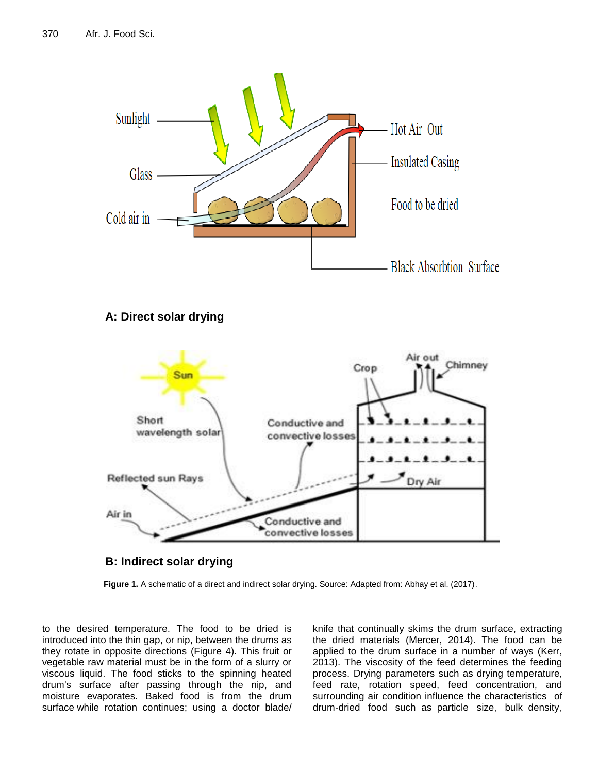

# **B: Indirect solar drying**

**Figure 1.** A schematic of a direct and indirect solar drying. Source: Adapted from: Abhay et al. (2017).

to the desired temperature. The food to be dried is introduced into the thin gap, or nip, between the drums as they rotate in opposite directions (Figure 4). This fruit or vegetable raw material must be in the form of a slurry or viscous liquid. The food sticks to the spinning heated drum's surface after passing through the nip, and moisture evaporates. Baked food is from the drum surface while rotation continues; using a doctor blade/

knife that continually skims the drum surface, extracting the dried materials (Mercer, 2014). The food can be applied to the drum surface in a number of ways (Kerr, 2013). The viscosity of the feed determines the feeding process. Drying parameters such as drying temperature, feed rate, rotation speed, feed concentration, and surrounding air condition influence the characteristics of drum-dried food such as particle size, bulk density,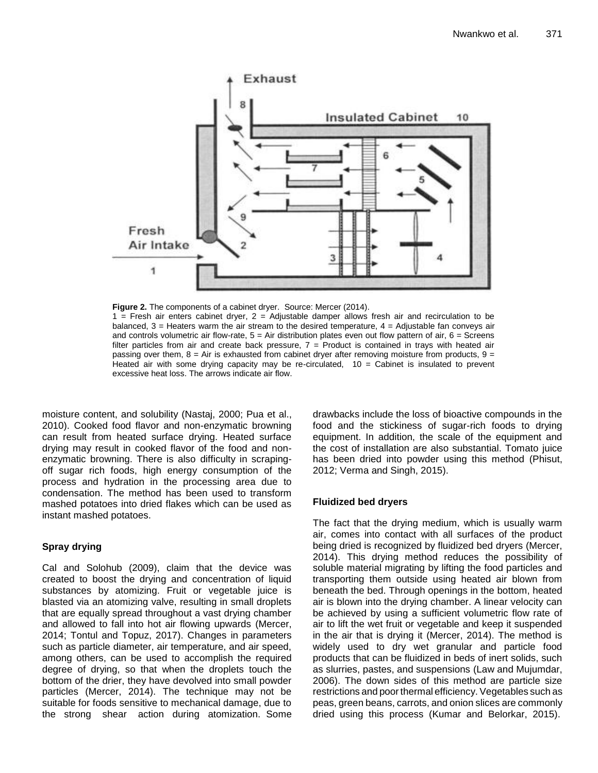

Figure 2. The components of a cabinet dryer. Source: Mercer (2014).  $1$  = Fresh air enters cabinet dryer,  $2$  = Adjustable damper allows fresh air and recirculation to be balanced, 3 = Heaters warm the air stream to the desired temperature, 4 = Adjustable fan conveys air and controls volumetric air flow-rate,  $5 = Air$  distribution plates even out flow pattern of air,  $6 = Series$ filter particles from air and create back pressure, 7 = Product is contained in trays with heated air passing over them,  $8 = Air$  is exhausted from cabinet dryer after removing moisture from products,  $9 =$ Heated air with some drying capacity may be re-circulated,  $10 =$  Cabinet is insulated to prevent

moisture content, and solubility (Nastaj, 2000; Pua et al., 2010). Cooked food flavor and non-enzymatic browning can result from heated surface drying. Heated surface drying may result in cooked flavor of the food and nonenzymatic browning. There is also difficulty in scrapingoff sugar rich foods, high energy consumption of the process and hydration in the processing area due to condensation. The method has been used to transform mashed potatoes into dried flakes which can be used as instant mashed potatoes.

excessive heat loss. The arrows indicate air flow.

# **Spray drying**

Cal and Solohub (2009), claim that the device was created to boost the drying and concentration of liquid substances by atomizing. Fruit or vegetable juice is blasted via an atomizing valve, resulting in small droplets that are equally spread throughout a vast drying chamber and allowed to fall into hot air flowing upwards (Mercer, 2014; Tontul and Topuz, 2017). Changes in parameters such as particle diameter, air temperature, and air speed, among others, can be used to accomplish the required degree of drying, so that when the droplets touch the bottom of the drier, they have devolved into small powder particles (Mercer, 2014). The technique may not be suitable for foods sensitive to mechanical damage, due to the strong shear action during atomization. Some drawbacks include the loss of bioactive compounds in the food and the stickiness of sugar-rich foods to drying equipment. In addition, the scale of the equipment and the cost of installation are also substantial. Tomato juice has been dried into powder using this method (Phisut, 2012; Verma and Singh, 2015).

# **Fluidized bed dryers**

The fact that the drying medium, which is usually warm air, comes into contact with all surfaces of the product being dried is recognized by fluidized bed dryers (Mercer, 2014). This drying method reduces the possibility of soluble material migrating by lifting the food particles and transporting them outside using heated air blown from beneath the bed. Through openings in the bottom, heated air is blown into the drying chamber. A linear velocity can be achieved by using a sufficient volumetric flow rate of air to lift the wet fruit or vegetable and keep it suspended in the air that is drying it (Mercer, 2014). The method is widely used to dry wet granular and particle food products that can be fluidized in beds of inert solids, such as slurries, pastes, and suspensions (Law and Mujumdar, 2006). The down sides of this method are particle size restrictions and poor thermal efficiency. Vegetables such as peas, green beans, carrots, and onion slices are commonly dried using this process (Kumar and Belorkar, 2015).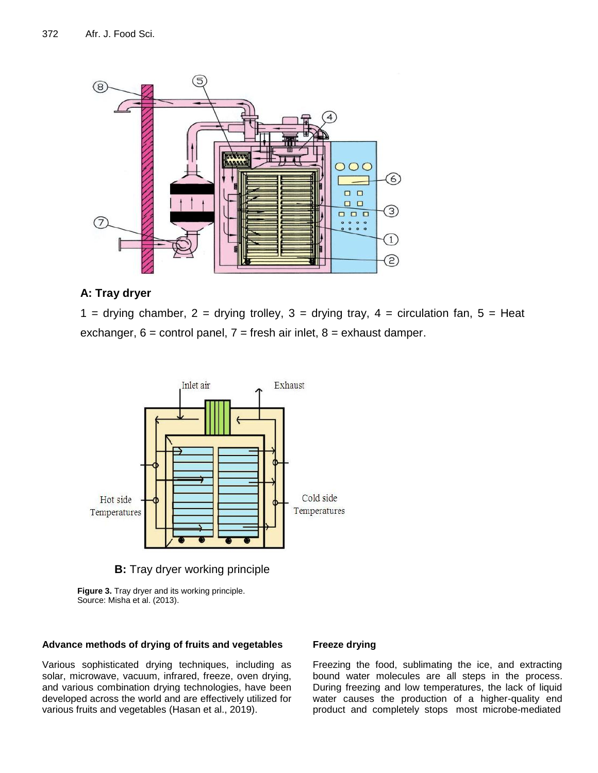

# **A: Tray dryer**

1 = drying chamber, 2 = drying trolley, 3 = drying tray, 4 = circulation fan, 5 = Heat exchanger,  $6 =$  control panel,  $7 =$  fresh air inlet,  $8 =$  exhaust damper.



**B:** Tray dryer working principle

**Figure 3.** Tray dryer and its working principle. Source: Misha et al. (2013).

#### **Advance methods of drying of fruits and vegetables**

Various sophisticated drying techniques, including as solar, microwave, vacuum, infrared, freeze, oven drying, and various combination drying technologies, have been developed across the world and are effectively utilized for various fruits and vegetables (Hasan et al., 2019).

#### **Freeze drying**

Freezing the food, sublimating the ice, and extracting bound water molecules are all steps in the process. During freezing and low temperatures, the lack of liquid water causes the production of a higher-quality end product and completely stops most microbe-mediated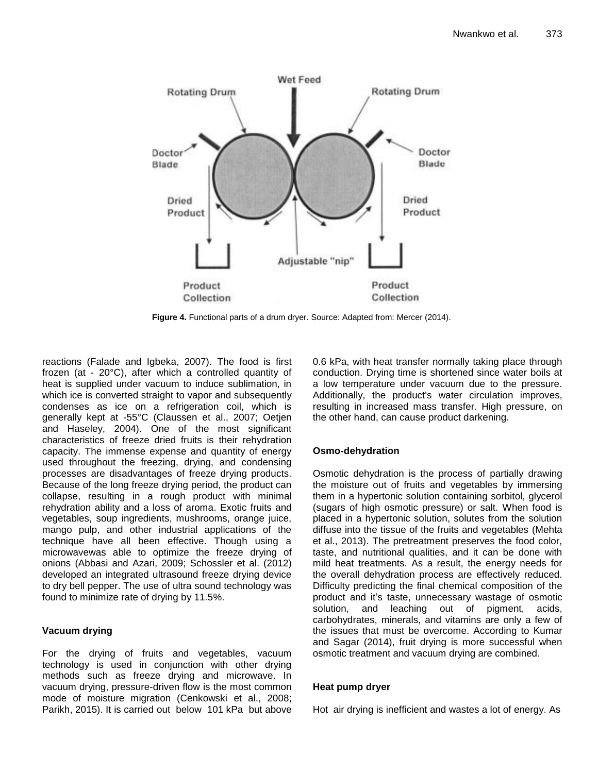

Figure 4. Functional parts of a drum dryer. Source: Adapted from: Mercer (2014).

reactions (Falade and Igbeka, 2007). The food is first frozen (at - 20°C), after which a controlled quantity of heat is supplied under vacuum to induce sublimation, in which ice is converted straight to vapor and subsequently condenses as ice on a refrigeration coil, which is generally kept at -55°C (Claussen et al., 2007; Oetjen and Haseley, 2004). One of the most significant characteristics of freeze dried fruits is their rehydration capacity. The immense expense and quantity of energy used throughout the freezing, drying, and condensing processes are disadvantages of freeze drying products. Because of the long freeze drying period, the product can collapse, resulting in a rough product with minimal rehydration ability and a loss of aroma. Exotic fruits and vegetables, soup ingredients, mushrooms, orange juice, mango pulp, and other industrial applications of the technique have all been effective. Though using a microwavewas able to optimize the freeze drying of onions (Abbasi and Azari, 2009; Schossler et al. (2012) developed an integrated ultrasound freeze drying device to dry bell pepper. The use of ultra sound technology was found to minimize rate of drying by 11.5%.

# **Vacuum drying**

For the drying of fruits and vegetables, vacuum technology is used in conjunction with other drying methods such as freeze drying and microwave. In vacuum drying, pressure-driven flow is the most common mode of moisture migration (Cenkowski et al., 2008; Parikh, 2015). It is carried out below 101 kPa but above 0.6 kPa, with heat transfer normally taking place through conduction. Drying time is shortened since water boils at a low temperature under vacuum due to the pressure. Additionally, the product's water circulation improves, resulting in increased mass transfer. High pressure, on the other hand, can cause product darkening.

# **Osmo-dehydration**

Osmotic dehydration is the process of partially drawing the moisture out of fruits and vegetables by immersing them in a hypertonic solution containing sorbitol, glycerol (sugars of high osmotic pressure) or salt. When food is placed in a hypertonic solution, solutes from the solution diffuse into the tissue of the fruits and vegetables (Mehta et al., 2013). The pretreatment preserves the food color, taste, and nutritional qualities, and it can be done with mild heat treatments. As a result, the energy needs for the overall dehydration process are effectively reduced. Difficulty predicting the final chemical composition of the product and it's taste, unnecessary wastage of osmotic solution, and leaching out of pigment, acids, carbohydrates, minerals, and vitamins are only a few of the issues that must be overcome. According to Kumar and Sagar (2014), fruit drying is more successful when osmotic treatment and vacuum drying are combined.

# **Heat pump dryer**

Hot air drying is inefficient and wastes a lot of energy. As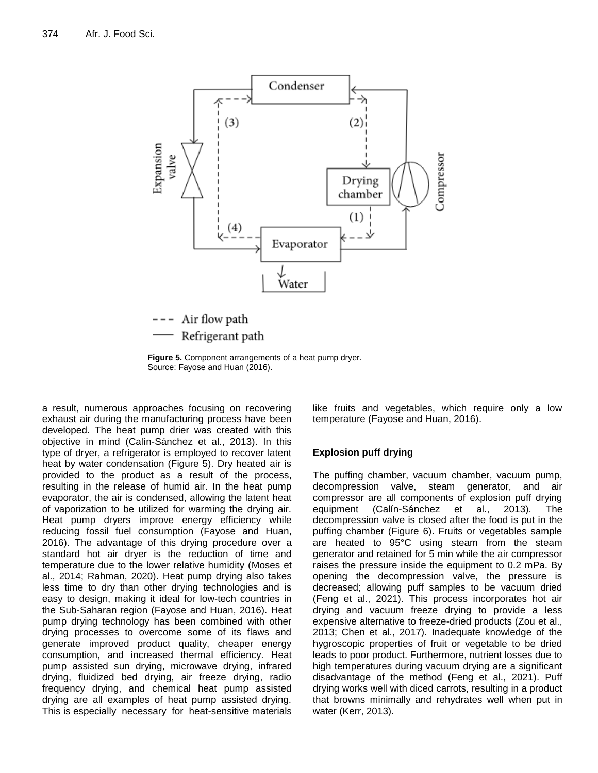

Refrigerant path

**Figure 5.** Component arrangements of a heat pump dryer. Source: Fayose and Huan (2016).

a result, numerous approaches focusing on recovering exhaust air during the manufacturing process have been developed. The heat pump drier was created with this objective in mind (Calín-Sánchez et al., 2013). In this type of dryer, a refrigerator is employed to recover latent heat by water condensation (Figure 5). Dry heated air is provided to the product as a result of the process, resulting in the release of humid air. In the heat pump evaporator, the air is condensed, allowing the latent heat of vaporization to be utilized for warming the drying air. Heat pump dryers improve energy efficiency while reducing fossil fuel consumption (Fayose and Huan, 2016). The advantage of this drying procedure over a standard hot air dryer is the reduction of time and temperature due to the lower relative humidity (Moses et al., 2014; Rahman, 2020). Heat pump drying also takes less time to dry than other drying technologies and is easy to design, making it ideal for low-tech countries in the Sub-Saharan region (Fayose and Huan, 2016). Heat pump drying technology has been combined with other drying processes to overcome some of its flaws and generate improved product quality, cheaper energy consumption, and increased thermal efficiency. Heat pump assisted sun drying, microwave drying, infrared drying, fluidized bed drying, air freeze drying, radio frequency drying, and chemical heat pump assisted drying are all examples of heat pump assisted drying. This is especially necessary for heat-sensitive materials like fruits and vegetables, which require only a low temperature (Fayose and Huan, 2016).

## **Explosion puff drying**

The puffing chamber, vacuum chamber, vacuum pump, decompression valve, steam generator, and air compressor are all components of explosion puff drying equipment (Calín-Sánchez et al., 2013). The decompression valve is closed after the food is put in the puffing chamber (Figure 6). Fruits or vegetables sample are heated to 95°C using steam from the steam generator and retained for 5 min while the air compressor raises the pressure inside the equipment to 0.2 mPa. By opening the decompression valve, the pressure is decreased; allowing puff samples to be vacuum dried (Feng et al., 2021). This process incorporates hot air drying and vacuum freeze drying to provide a less expensive alternative to freeze-dried products (Zou et al., 2013; Chen et al., 2017). Inadequate knowledge of the hygroscopic properties of fruit or vegetable to be dried leads to poor product. Furthermore, nutrient losses due to high temperatures during vacuum drying are a significant disadvantage of the method (Feng et al., 2021). Puff drying works well with diced carrots, resulting in a product that browns minimally and rehydrates well when put in water (Kerr, 2013).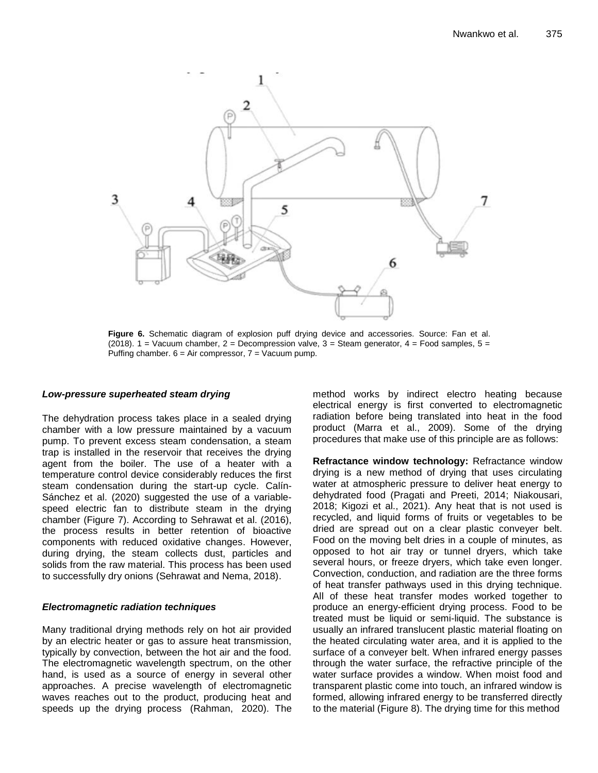

**Figure 6.** Schematic diagram of explosion puff drying device and accessories. Source: Fan et al. (2018). 1 = Vacuum chamber, 2 = Decompression valve, 3 = Steam generator, 4 = Food samples, 5 = Puffing chamber.  $6 = Air$  compressor,  $7 = Vacuum$  pump.

#### *Low-pressure superheated steam drying*

The dehydration process takes place in a sealed drying chamber with a low pressure maintained by a vacuum pump. To prevent excess steam condensation, a steam trap is installed in the reservoir that receives the drying agent from the boiler. The use of a heater with a temperature control device considerably reduces the first steam condensation during the start-up cycle. Calín-Sánchez et al. (2020) suggested the use of a variablespeed electric fan to distribute steam in the drying chamber (Figure 7). According to Sehrawat et al. (2016), the process results in better retention of bioactive components with reduced oxidative changes. However, during drying, the steam collects dust, particles and solids from the raw material. This process has been used to successfully dry onions (Sehrawat and Nema, 2018).

#### *Electromagnetic radiation techniques*

Many traditional drying methods rely on hot air provided by an electric heater or gas to assure heat transmission, typically by convection, between the hot air and the food. The electromagnetic wavelength spectrum, on the other hand, is used as a source of energy in several other approaches. A precise wavelength of electromagnetic waves reaches out to the product, producing heat and speeds up the drying process (Rahman, 2020). The method works by indirect electro heating because electrical energy is first converted to electromagnetic radiation before being translated into heat in the food product (Marra et al., 2009). Some of the drying procedures that make use of this principle are as follows:

**Refractance window technology:** Refractance window drying is a new method of drying that uses circulating water at atmospheric pressure to deliver heat energy to dehydrated food (Pragati and Preeti, 2014; Niakousari, 2018; Kigozi et al., 2021). Any heat that is not used is recycled, and liquid forms of fruits or vegetables to be dried are spread out on a clear plastic conveyer belt. Food on the moving belt dries in a couple of minutes, as opposed to hot air tray or tunnel dryers, which take several hours, or freeze dryers, which take even longer. Convection, conduction, and radiation are the three forms of heat transfer pathways used in this drying technique. All of these heat transfer modes worked together to produce an energy-efficient drying process. Food to be treated must be liquid or semi-liquid. The substance is usually an infrared translucent plastic material floating on the heated circulating water area, and it is applied to the surface of a conveyer belt. When infrared energy passes through the water surface, the refractive principle of the water surface provides a window. When moist food and transparent plastic come into touch, an infrared window is formed, allowing infrared energy to be transferred directly to the material (Figure 8). The drying time for this method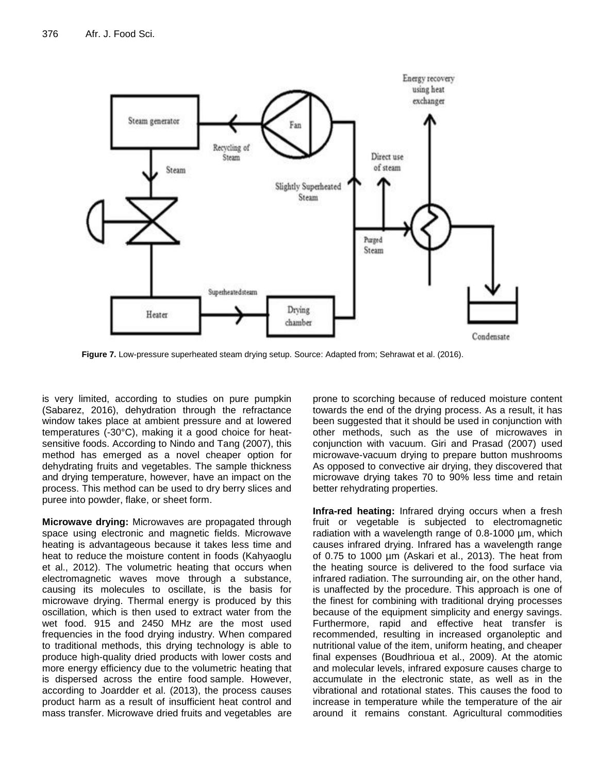

**Figure 7.** Low-pressure superheated steam drying setup. Source: Adapted from; Sehrawat et al. (2016).

is very limited, according to studies on pure pumpkin (Sabarez, 2016), dehydration through the refractance window takes place at ambient pressure and at lowered temperatures (-30°C), making it a good choice for heatsensitive foods. According to Nindo and Tang (2007), this method has emerged as a novel cheaper option for dehydrating fruits and vegetables. The sample thickness and drying temperature, however, have an impact on the process. This method can be used to dry berry slices and puree into powder, flake, or sheet form.

**Microwave drying:** Microwaves are propagated through space using electronic and magnetic fields. Microwave heating is advantageous because it takes less time and heat to reduce the moisture content in foods (Kahyaoglu et al., 2012). The volumetric heating that occurs when electromagnetic waves move through a substance, causing its molecules to oscillate, is the basis for microwave drying. Thermal energy is produced by this oscillation, which is then used to extract water from the wet food. 915 and 2450 MHz are the most used frequencies in the food drying industry. When compared to traditional methods, this drying technology is able to produce high-quality dried products with lower costs and more energy efficiency due to the volumetric heating that is dispersed across the entire food sample. However, according to Joardder et al. (2013), the process causes product harm as a result of insufficient heat control and mass transfer. Microwave dried fruits and vegetables are prone to scorching because of reduced moisture content towards the end of the drying process. As a result, it has been suggested that it should be used in conjunction with other methods, such as the use of microwaves in conjunction with vacuum. Giri and Prasad (2007) used microwave-vacuum drying to prepare button mushrooms As opposed to convective air drying, they discovered that microwave drying takes 70 to 90% less time and retain better rehydrating properties.

**Infra-red heating:** Infrared drying occurs when a fresh fruit or vegetable is subjected to electromagnetic radiation with a wavelength range of 0.8-1000 µm, which causes infrared drying. Infrared has a wavelength range of 0.75 to 1000 µm (Askari et al., 2013). The heat from the heating source is delivered to the food surface via infrared radiation. The surrounding air, on the other hand, is unaffected by the procedure. This approach is one of the finest for combining with traditional drying processes because of the equipment simplicity and energy savings. Furthermore, rapid and effective heat transfer is recommended, resulting in increased organoleptic and nutritional value of the item, uniform heating, and cheaper final expenses (Boudhrioua et al., 2009). At the atomic and molecular levels, infrared exposure causes charge to accumulate in the electronic state, as well as in the vibrational and rotational states. This causes the food to increase in temperature while the temperature of the air around it remains constant. Agricultural commodities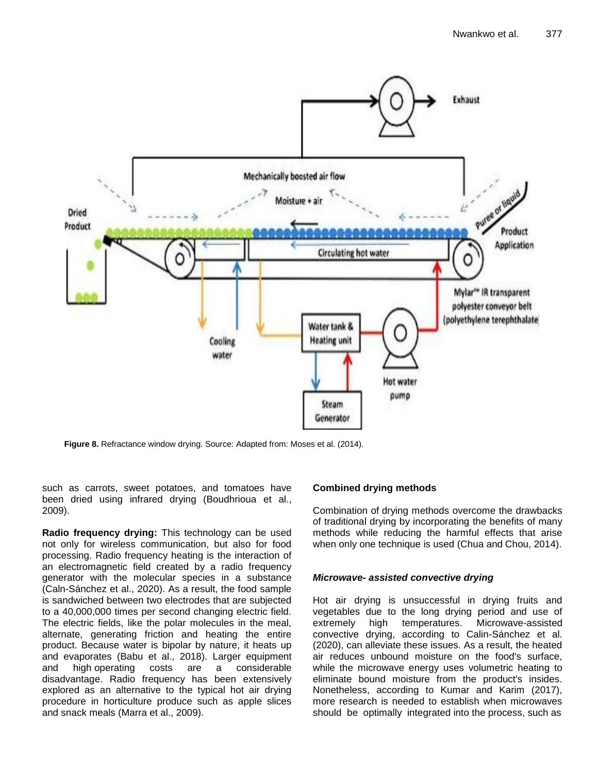

**Figure 8.** Refractance window drying. Source: Adapted from: Moses et al. (2014).

such as carrots, sweet potatoes, and tomatoes have been dried using infrared drying (Boudhrioua et al., 2009).

**Radio frequency drying:** This technology can be used not only for wireless communication, but also for food processing. Radio frequency heating is the interaction of an electromagnetic field created by a radio frequency generator with the molecular species in a substance (Caln-Sánchez et al., 2020). As a result, the food sample is sandwiched between two electrodes that are subjected to a 40,000,000 times per second changing electric field. The electric fields, like the polar molecules in the meal, alternate, generating friction and heating the entire product. Because water is bipolar by nature, it heats up and evaporates (Babu et al., 2018). Larger equipment and high operating costs are a considerable disadvantage. Radio frequency has been extensively explored as an alternative to the typical hot air drying procedure in horticulture produce such as apple slices and snack meals (Marra et al., 2009).

## **Combined drying methods**

Combination of drying methods overcome the drawbacks of traditional drying by incorporating the benefits of many methods while reducing the harmful effects that arise when only one technique is used (Chua and Chou, 2014).

#### *Microwave- assisted convective drying*

Hot air drying is unsuccessful in drying fruits and vegetables due to the long drying period and use of extremely high temperatures. Microwave-assisted convective drying, according to Calin-Sánchez et al. (2020), can alleviate these issues. As a result, the heated air reduces unbound moisture on the food's surface, while the microwave energy uses volumetric heating to eliminate bound moisture from the product's insides. Nonetheless, according to Kumar and Karim (2017), more research is needed to establish when microwaves should be optimally integrated into the process, such as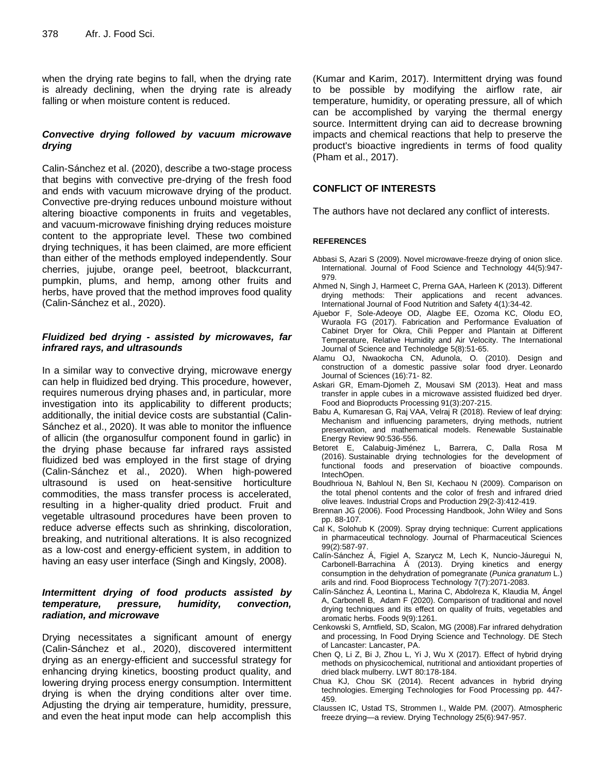when the drying rate begins to fall, when the drying rate is already declining, when the drying rate is already falling or when moisture content is reduced.

## *Convective drying followed by vacuum microwave drying*

Calin-Sánchez et al. (2020), describe a two-stage process that begins with convective pre-drying of the fresh food and ends with vacuum microwave drying of the product. Convective pre-drying reduces unbound moisture without altering bioactive components in fruits and vegetables, and vacuum-microwave finishing drying reduces moisture content to the appropriate level. These two combined drying techniques, it has been claimed, are more efficient than either of the methods employed independently. Sour cherries, jujube, orange peel, beetroot, blackcurrant, pumpkin, plums, and hemp, among other fruits and herbs, have proved that the method improves food quality (Calin-Sánchez et al., 2020).

### *Fluidized bed drying - assisted by microwaves, far infrared rays, and ultrasounds*

In a similar way to convective drying, microwave energy can help in fluidized bed drying. This procedure, however, requires numerous drying phases and, in particular, more investigation into its applicability to different products; additionally, the initial device costs are substantial (Calin-Sánchez et al., 2020). It was able to monitor the influence of allicin (the organosulfur component found in garlic) in the drying phase because far infrared rays assisted fluidized bed was employed in the first stage of drying (Calin-Sánchez et al., 2020). When high-powered ultrasound is used on heat-sensitive horticulture commodities, the mass transfer process is accelerated, resulting in a higher-quality dried product. Fruit and vegetable ultrasound procedures have been proven to reduce adverse effects such as shrinking, discoloration, breaking, and nutritional alterations. It is also recognized as a low-cost and energy-efficient system, in addition to having an easy user interface (Singh and Kingsly, 2008).

## *Intermittent drying of food products assisted by temperature, pressure, humidity, convection, radiation, and microwave*

Drying necessitates a significant amount of energy (Calin-Sánchez et al., 2020), discovered intermittent drying as an energy-efficient and successful strategy for enhancing drying kinetics, boosting product quality, and lowering drying process energy consumption. Intermittent drying is when the drying conditions alter over time. Adjusting the drying air temperature, humidity, pressure, and even the heat input mode can help accomplish this

(Kumar and Karim, 2017). Intermittent drying was found to be possible by modifying the airflow rate, air temperature, humidity, or operating pressure, all of which can be accomplished by varying the thermal energy source. Intermittent drying can aid to decrease browning impacts and chemical reactions that help to preserve the product's bioactive ingredients in terms of food quality (Pham et al., 2017).

## **CONFLICT OF INTERESTS**

The authors have not declared any conflict of interests.

#### **REFERENCES**

- Abbasi S, Azari S (2009). Novel microwave-freeze drying of onion slice. International. Journal of Food Science and Technology 44(5):947- 979.
- Ahmed N, Singh J, Harmeet C, Prerna GAA, Harleen K (2013). Different drying methods: Their applications and recent advances. International Journal of Food Nutrition and Safety 4(1):34-42.
- Ajuebor F, Sole-Adeoye OD, Alagbe EE, Ozoma KC, Olodu EO, Wuraola FG (2017). Fabrication and Performance Evaluation of Cabinet Dryer for Okra, Chili Pepper and Plantain at Different Temperature, Relative Humidity and Air Velocity. The International Journal of Science and Technoledge 5(8):51-65.
- Alamu OJ, Nwaokocha CN, Adunola, O. (2010). Design and construction of a domestic passive solar food dryer. Leonardo Journal of Sciences (16):71- 82.
- Askari GR, Emam-Djomeh Z, Mousavi SM (2013). Heat and mass transfer in apple cubes in a microwave assisted fluidized bed dryer. Food and Bioproducts Processing 91(3):207-215.
- Babu A, Kumaresan G, Raj VAA, Velraj R (2018). Review of leaf drying: Mechanism and influencing parameters, drying methods, nutrient preservation, and mathematical models. Renewable Sustainable Energy Review 90:536-556.
- Betoret E, Calabuig-Jiménez L, Barrera, C, Dalla Rosa M (2016). Sustainable drying technologies for the development of functional foods and preservation of bioactive compounds. IntechOpen.
- Boudhrioua N, Bahloul N, Ben SI, Kechaou N (2009). Comparison on the total phenol contents and the color of fresh and infrared dried olive leaves. Industrial Crops and Production 29(2-3):412-419.
- Brennan JG (2006). Food Processing Handbook, John Wiley and Sons pp. 88-107.
- Cal K, Solohub K (2009). Spray drying technique: Current applications in pharmaceutical technology*.* Journal of Pharmaceutical Sciences 99(2):587-97.
- Calín-Sánchez Á, Figiel A, Szarycz M, Lech K, Nuncio-Jáuregui N, Carbonell-Barrachina Á (2013). Drying kinetics and energy consumption in the dehydration of pomegranate (*Punica granatum* L.) arils and rind. Food Bioprocess Technology 7(7):2071-2083.
- Calín-Sánchez Á, Leontina L, Marina C, Abdolreza K, Klaudia M, Ángel A, Carbonell B, Adam F (2020). Comparison of traditional and novel drying techniques and its effect on quality of fruits, vegetables and aromatic herbs. Foods 9(9):1261.
- Cenkowski S, Arntfield, SD, Scalon, MG (2008).Far infrared dehydration and processing, In Food Drying Science and Technology. DE Stech of Lancaster: Lancaster, PA.
- Chen Q, Li Z, Bi J, Zhou L, Yi J, Wu X (2017). Effect of hybrid drying methods on physicochemical, nutritional and antioxidant properties of dried black mulberry. LWT 80:178-184.
- Chua KJ, Chou SK (2014). Recent advances in hybrid drying technologies. Emerging Technologies for Food Processing pp. 447- 459.
- Claussen IC, Ustad TS, Strommen I., Walde PM. (2007). Atmospheric freeze drying—a review. Drying Technology 25(6):947-957.